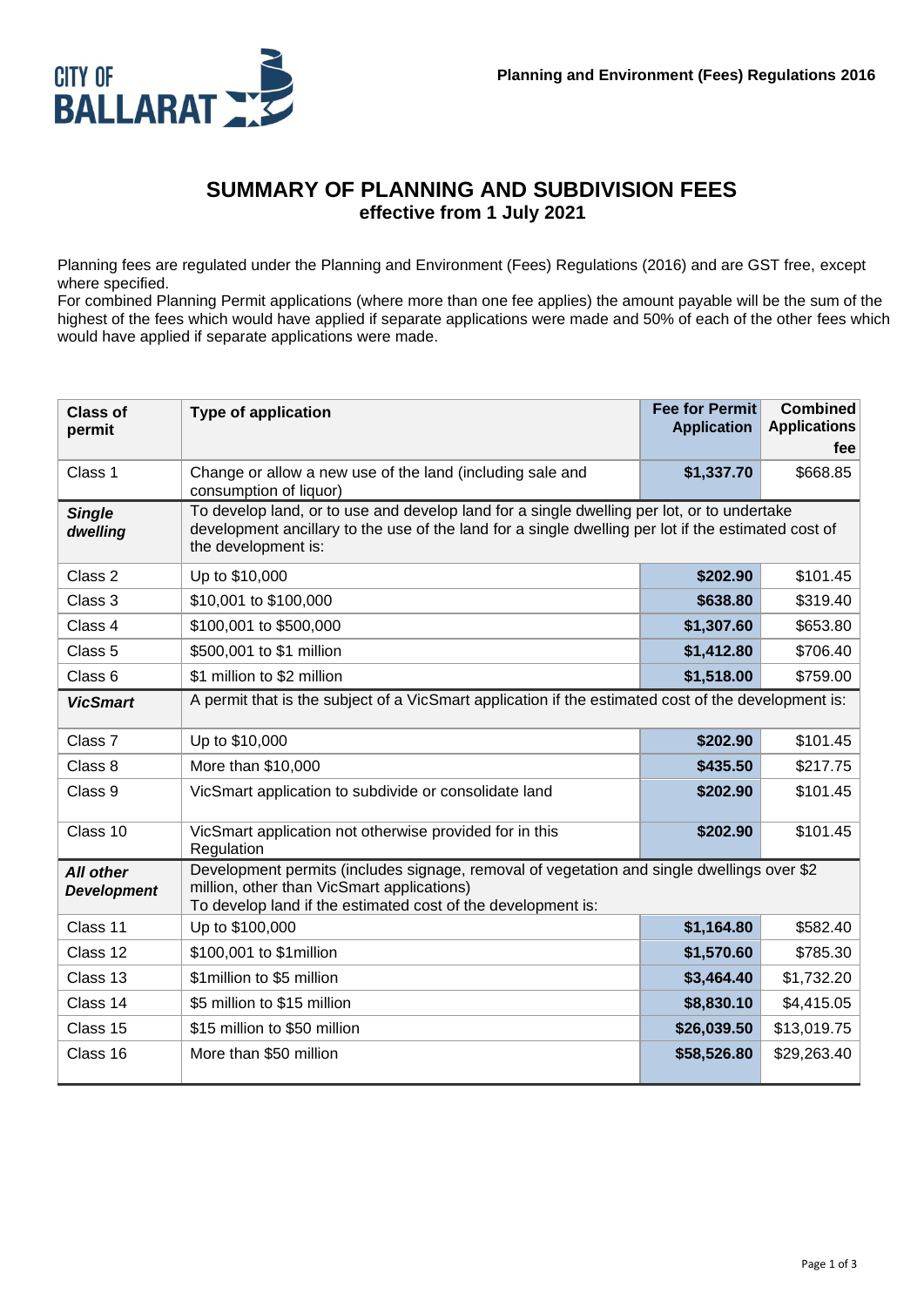

#### **SUMMARY OF PLANNING AND SUBDIVISION FEES effective from 1 July 2021**

Planning fees are regulated under the Planning and Environment (Fees) Regulations (2016) and are GST free, except where specified.

For combined Planning Permit applications (where more than one fee applies) the amount payable will be the sum of the highest of the fees which would have applied if separate applications were made and 50% of each of the other fees which would have applied if separate applications were made.

| <b>Class of</b><br>permit              | <b>Type of application</b>                                                                                                                                                                                               | <b>Fee for Permit</b><br><b>Application</b> | <b>Combined</b><br><b>Applications</b><br>fee |
|----------------------------------------|--------------------------------------------------------------------------------------------------------------------------------------------------------------------------------------------------------------------------|---------------------------------------------|-----------------------------------------------|
| Class 1                                | Change or allow a new use of the land (including sale and<br>consumption of liquor)                                                                                                                                      | \$1,337.70                                  | \$668.85                                      |
| <b>Single</b><br>dwelling              | To develop land, or to use and develop land for a single dwelling per lot, or to undertake<br>development ancillary to the use of the land for a single dwelling per lot if the estimated cost of<br>the development is: |                                             |                                               |
| Class 2                                | Up to \$10,000                                                                                                                                                                                                           | \$202.90                                    | \$101.45                                      |
| Class 3                                | \$10,001 to \$100,000                                                                                                                                                                                                    | \$638.80                                    | \$319.40                                      |
| Class 4                                | \$100,001 to \$500,000                                                                                                                                                                                                   | \$1,307.60                                  | \$653.80                                      |
| Class 5                                | \$500,001 to \$1 million                                                                                                                                                                                                 | \$1,412.80                                  | \$706.40                                      |
| Class 6                                | \$1 million to \$2 million                                                                                                                                                                                               | \$1,518.00                                  | \$759.00                                      |
| <b>VicSmart</b>                        | A permit that is the subject of a VicSmart application if the estimated cost of the development is:                                                                                                                      |                                             |                                               |
| Class 7                                | Up to \$10,000                                                                                                                                                                                                           | \$202.90                                    | \$101.45                                      |
| Class 8                                | More than \$10,000                                                                                                                                                                                                       | \$435.50                                    | \$217.75                                      |
| Class 9                                | VicSmart application to subdivide or consolidate land                                                                                                                                                                    | \$202.90                                    | \$101.45                                      |
| Class 10                               | VicSmart application not otherwise provided for in this<br>Regulation                                                                                                                                                    | \$202.90                                    | \$101.45                                      |
| <b>All other</b><br><b>Development</b> | Development permits (includes signage, removal of vegetation and single dwellings over \$2<br>million, other than VicSmart applications)<br>To develop land if the estimated cost of the development is:                 |                                             |                                               |
| Class 11                               | Up to \$100,000                                                                                                                                                                                                          | \$1,164.80                                  | \$582.40                                      |
| Class 12                               | \$100,001 to \$1 million                                                                                                                                                                                                 | \$1,570.60                                  | \$785.30                                      |
| Class 13                               | \$1 million to \$5 million                                                                                                                                                                                               | \$3,464.40                                  | \$1,732.20                                    |
| Class 14                               | \$5 million to \$15 million                                                                                                                                                                                              | \$8,830.10                                  | \$4,415.05                                    |
| Class 15                               | \$15 million to \$50 million                                                                                                                                                                                             | \$26,039.50                                 | \$13,019.75                                   |
| Class 16                               | More than \$50 million                                                                                                                                                                                                   | \$58,526.80                                 | \$29,263.40                                   |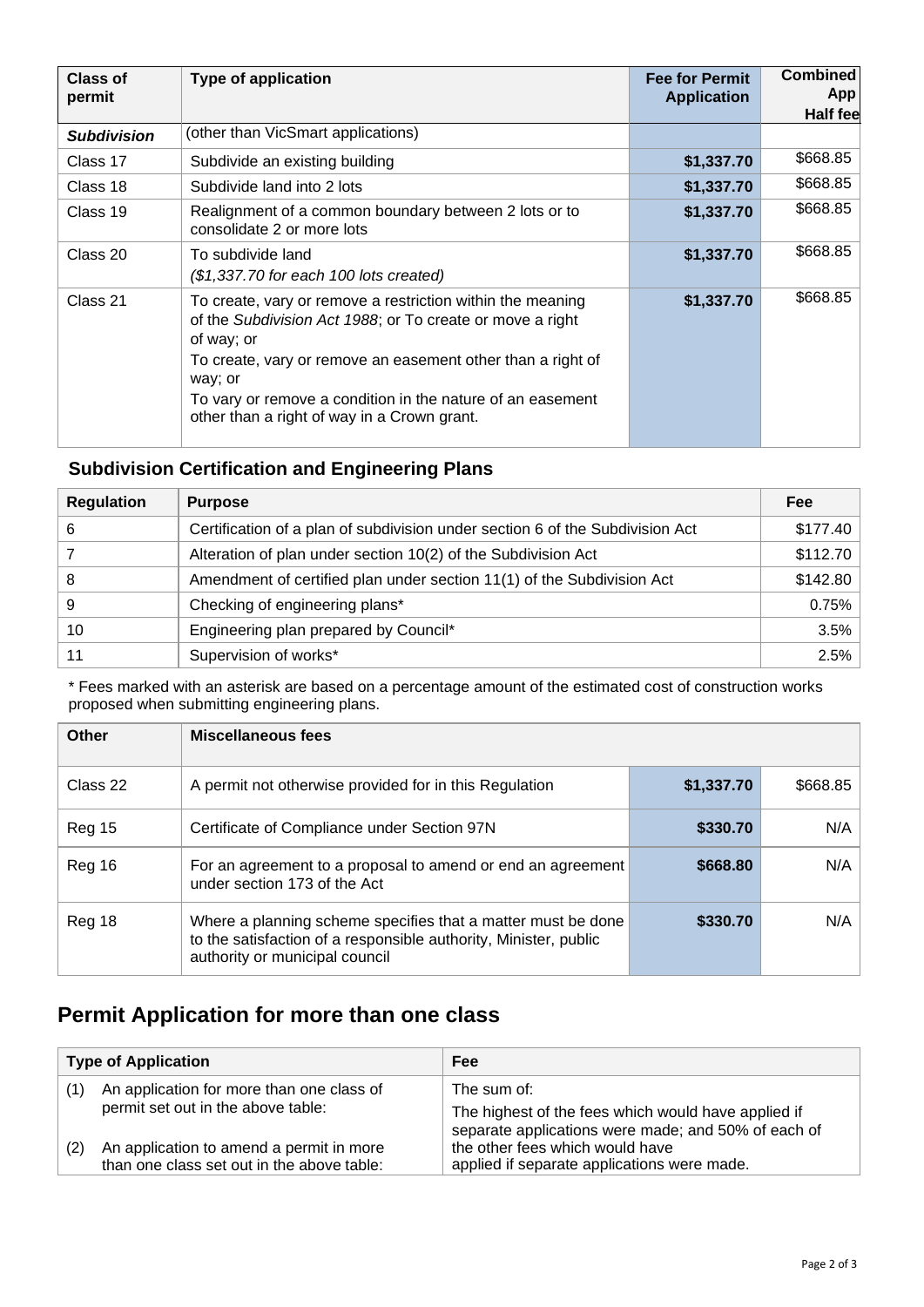| Class of<br>permit | <b>Type of application</b>                                                                                                                                                                                                                                                                                                   | <b>Fee for Permit</b><br><b>Application</b> | <b>Combined</b><br>App<br><b>Half fee</b> |
|--------------------|------------------------------------------------------------------------------------------------------------------------------------------------------------------------------------------------------------------------------------------------------------------------------------------------------------------------------|---------------------------------------------|-------------------------------------------|
| <b>Subdivision</b> | (other than VicSmart applications)                                                                                                                                                                                                                                                                                           |                                             |                                           |
| Class 17           | Subdivide an existing building                                                                                                                                                                                                                                                                                               | \$1,337.70                                  | \$668.85                                  |
| Class 18           | Subdivide land into 2 lots                                                                                                                                                                                                                                                                                                   | \$1,337.70                                  | \$668.85                                  |
| Class 19           | Realignment of a common boundary between 2 lots or to<br>consolidate 2 or more lots                                                                                                                                                                                                                                          | \$1,337.70                                  | \$668.85                                  |
| Class 20           | To subdivide land<br>$($1,337.70$ for each 100 lots created)                                                                                                                                                                                                                                                                 | \$1,337.70                                  | \$668.85                                  |
| Class 21           | To create, vary or remove a restriction within the meaning<br>of the Subdivision Act 1988; or To create or move a right<br>of way; or<br>To create, vary or remove an easement other than a right of<br>way; or<br>To vary or remove a condition in the nature of an easement<br>other than a right of way in a Crown grant. | \$1,337.70                                  | \$668.85                                  |

#### **Subdivision Certification and Engineering Plans**

| <b>Regulation</b> | <b>Purpose</b>                                                                | <b>Fee</b> |
|-------------------|-------------------------------------------------------------------------------|------------|
| 6                 | Certification of a plan of subdivision under section 6 of the Subdivision Act | \$177.40   |
|                   | Alteration of plan under section 10(2) of the Subdivision Act                 | \$112.70   |
| 8                 | Amendment of certified plan under section 11(1) of the Subdivision Act        | \$142.80   |
| 9                 | Checking of engineering plans*                                                | 0.75%      |
| 10                | Engineering plan prepared by Council*                                         | 3.5%       |
| 11                | Supervision of works*                                                         | 2.5%       |

\* Fees marked with an asterisk are based on a percentage amount of the estimated cost of construction works proposed when submitting engineering plans.

| <b>Other</b>  | <b>Miscellaneous fees</b>                                                                                                                                          |            |          |
|---------------|--------------------------------------------------------------------------------------------------------------------------------------------------------------------|------------|----------|
| Class 22      | A permit not otherwise provided for in this Regulation                                                                                                             | \$1,337.70 | \$668.85 |
| <b>Reg 15</b> | Certificate of Compliance under Section 97N                                                                                                                        | \$330.70   | N/A      |
| Reg 16        | For an agreement to a proposal to amend or end an agreement<br>under section 173 of the Act                                                                        | \$668.80   | N/A      |
| Reg 18        | Where a planning scheme specifies that a matter must be done<br>to the satisfaction of a responsible authority, Minister, public<br>authority or municipal council | \$330.70   | N/A      |

# **Permit Application for more than one class**

| <b>Type of Application</b> |                                                                                        | Fee                                                                                                                                   |
|----------------------------|----------------------------------------------------------------------------------------|---------------------------------------------------------------------------------------------------------------------------------------|
| (1)                        | An application for more than one class of<br>permit set out in the above table:        | The sum of:<br>The highest of the fees which would have applied if                                                                    |
| (2)                        | An application to amend a permit in more<br>than one class set out in the above table: | separate applications were made; and 50% of each of<br>the other fees which would have<br>applied if separate applications were made. |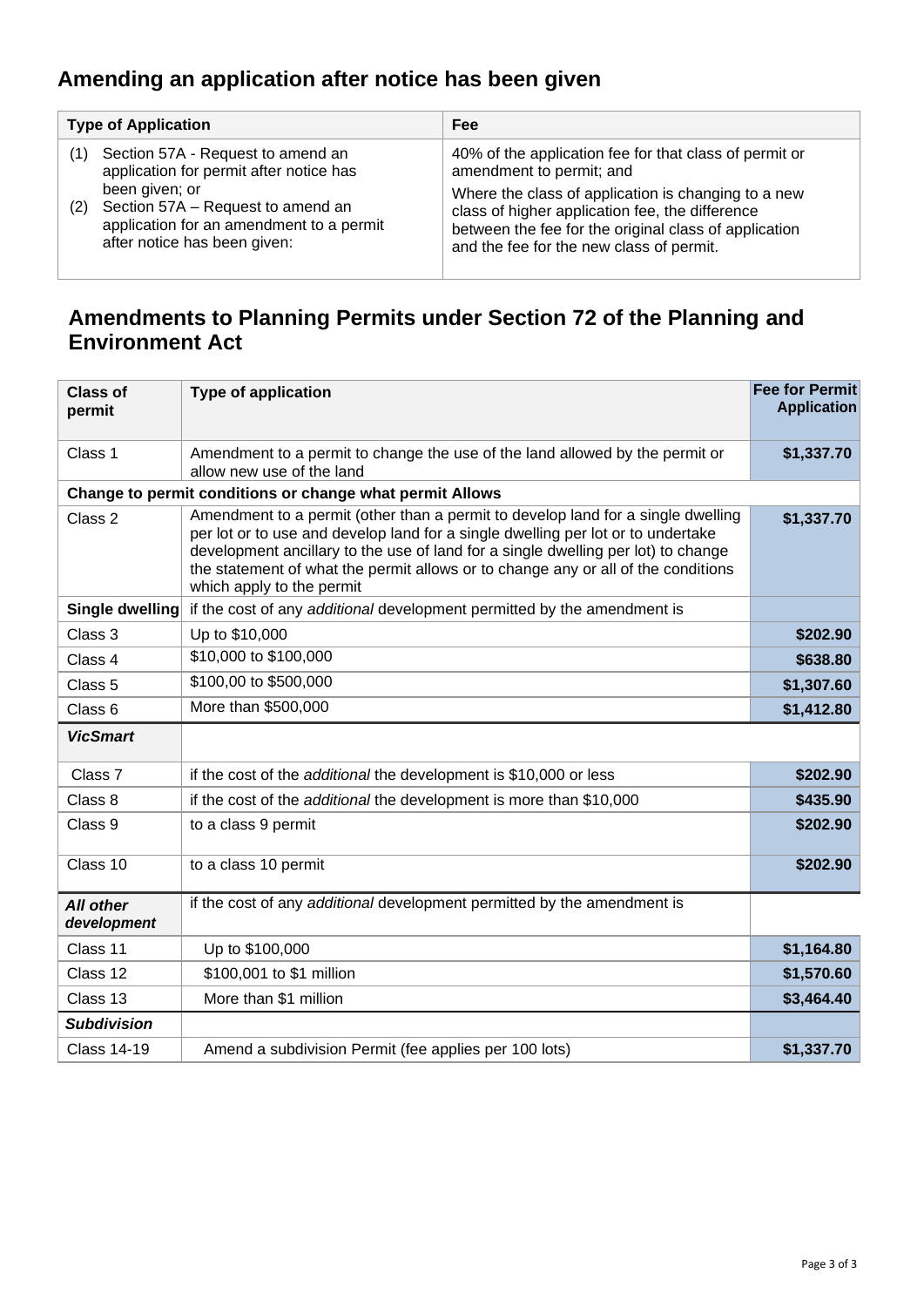# **Amending an application after notice has been given**

| <b>Type of Application</b>                                                                                                             | Fee                                                                                                                                                                                                         |  |
|----------------------------------------------------------------------------------------------------------------------------------------|-------------------------------------------------------------------------------------------------------------------------------------------------------------------------------------------------------------|--|
| Section 57A - Request to amend an<br>application for permit after notice has                                                           | 40% of the application fee for that class of permit or<br>amendment to permit; and                                                                                                                          |  |
| been given; or<br>Section 57A – Request to amend an<br>(2)<br>application for an amendment to a permit<br>after notice has been given: | Where the class of application is changing to a new<br>class of higher application fee, the difference<br>between the fee for the original class of application<br>and the fee for the new class of permit. |  |

### **Amendments to Planning Permits under Section 72 of the Planning and Environment Act**

| <b>Class of</b><br>permit       | <b>Type of application</b>                                                                                                                                                                                                                                                                                                                                                  | <b>Fee for Permit</b><br><b>Application</b> |
|---------------------------------|-----------------------------------------------------------------------------------------------------------------------------------------------------------------------------------------------------------------------------------------------------------------------------------------------------------------------------------------------------------------------------|---------------------------------------------|
| Class 1                         | Amendment to a permit to change the use of the land allowed by the permit or<br>allow new use of the land                                                                                                                                                                                                                                                                   | \$1,337.70                                  |
|                                 | Change to permit conditions or change what permit Allows                                                                                                                                                                                                                                                                                                                    |                                             |
| Class 2                         | Amendment to a permit (other than a permit to develop land for a single dwelling<br>per lot or to use and develop land for a single dwelling per lot or to undertake<br>development ancillary to the use of land for a single dwelling per lot) to change<br>the statement of what the permit allows or to change any or all of the conditions<br>which apply to the permit | \$1,337.70                                  |
| <b>Single dwelling</b>          | if the cost of any additional development permitted by the amendment is                                                                                                                                                                                                                                                                                                     |                                             |
| Class 3                         | Up to \$10,000                                                                                                                                                                                                                                                                                                                                                              | \$202.90                                    |
| Class 4                         | \$10,000 to \$100,000                                                                                                                                                                                                                                                                                                                                                       | \$638.80                                    |
| Class <sub>5</sub>              | \$100,00 to \$500,000                                                                                                                                                                                                                                                                                                                                                       | \$1,307.60                                  |
| Class <sub>6</sub>              | More than \$500,000                                                                                                                                                                                                                                                                                                                                                         | \$1,412.80                                  |
| <b>VicSmart</b>                 |                                                                                                                                                                                                                                                                                                                                                                             |                                             |
| Class <sub>7</sub>              | if the cost of the additional the development is \$10,000 or less                                                                                                                                                                                                                                                                                                           | \$202.90                                    |
| Class 8                         | if the cost of the additional the development is more than \$10,000                                                                                                                                                                                                                                                                                                         | \$435.90                                    |
| Class 9                         | to a class 9 permit                                                                                                                                                                                                                                                                                                                                                         | \$202.90                                    |
| Class $10$                      | to a class 10 permit                                                                                                                                                                                                                                                                                                                                                        | \$202.90                                    |
| <b>All other</b><br>development | if the cost of any additional development permitted by the amendment is                                                                                                                                                                                                                                                                                                     |                                             |
| Class 11                        | Up to \$100,000                                                                                                                                                                                                                                                                                                                                                             | \$1,164.80                                  |
| Class 12                        | \$100,001 to \$1 million                                                                                                                                                                                                                                                                                                                                                    | \$1,570.60                                  |
| Class 13                        | More than \$1 million                                                                                                                                                                                                                                                                                                                                                       | \$3,464.40                                  |
| <b>Subdivision</b>              |                                                                                                                                                                                                                                                                                                                                                                             |                                             |
| <b>Class 14-19</b>              | Amend a subdivision Permit (fee applies per 100 lots)                                                                                                                                                                                                                                                                                                                       | \$1,337.70                                  |